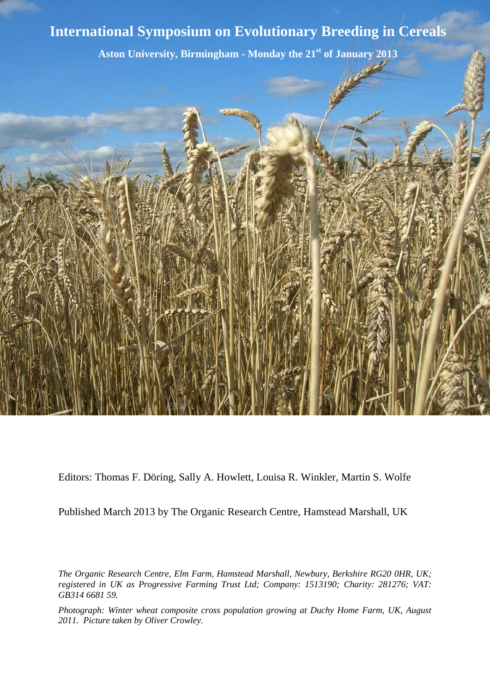



Editors: Thomas F. Döring, Sally A. Howlett, Louisa R. Winkler, Martin S. Wolfe

Published March 2013 by The Organic Research Centre, Hamstead Marshall, UK

*The Organic Research Centre, Elm Farm, Hamstead Marshall, Newbury, Berkshire RG20 0HR, UK; registered in UK as Progressive Farming Trust Ltd; Company: 1513190; Charity: 281276; VAT: GB314 6681 59.*

*Photograph: Winter wheat composite cross population growing at Duchy Home Farm, UK, August 2011. Picture taken by Oliver Crowley.*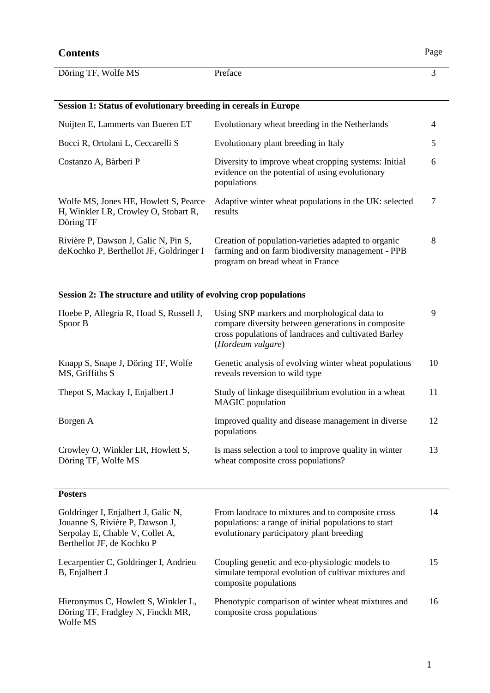#### **Contents** Page Döring TF, Wolfe MS Preface 3 **Session 1: Status of evolutionary breeding in cereals in Europe** Nuijten E, Lammerts van Bueren ET Evolutionary wheat breeding in the Netherlands 4 Bocci R, Ortolani L, Ceccarelli S Evolutionary plant breeding in Italy 5 Costanzo A, Bàrberi P Diversity to improve wheat cropping systems: Initial evidence on the potential of using evolutionary populations 6 Wolfe MS, Jones HE, Howlett S, Pearce H, Winkler LR, Crowley O, Stobart R, Döring TF Adaptive winter wheat populations in the UK: selected results 7 Rivière P, Dawson J, Galic N, Pin S, deKochko P, Berthellot JF, Goldringer I Creation of population-varieties adapted to organic farming and on farm biodiversity management - PPB program on bread wheat in France 8 **Session 2: The structure and utility of evolving crop populations** Hoebe P, Allegria R, Hoad S, Russell J, Spoor B Using SNP markers and morphological data to compare diversity between generations in composite cross populations of landraces and cultivated Barley (*Hordeum vulgare*) 9 Knapp S, Snape J, Döring TF, Wolfe MS, Griffiths S Genetic analysis of evolving winter wheat populations reveals reversion to wild type 10 Thepot S, Mackay I, Enjalbert J Study of linkage disequilibrium evolution in a wheat MAGIC population 11 Borgen A **Improved quality and disease management in diverse** populations 12 Crowley O, Winkler LR, Howlett S, Döring TF, Wolfe MS Is mass selection a tool to improve quality in winter wheat composite cross populations? 13 **Posters** Goldringer I, Enjalbert J, Galic N, Jouanne S, Rivière P, Dawson J, From landrace to mixtures and to composite cross populations: a range of initial populations to start 14

evolutionary participatory plant breeding

composite populations

composite cross populations

Coupling genetic and eco-physiologic models to simulate temporal evolution of cultivar mixtures and

Phenotypic comparison of winter wheat mixtures and

Serpolay E, Chable V, Collet A, Berthellot JF, de Kochko P

B, Enjalbert J

Wolfe MS

Lecarpentier C, Goldringer I, Andrieu

Hieronymus C, Howlett S, Winkler L, Döring TF, Fradgley N, Finckh MR,

15

16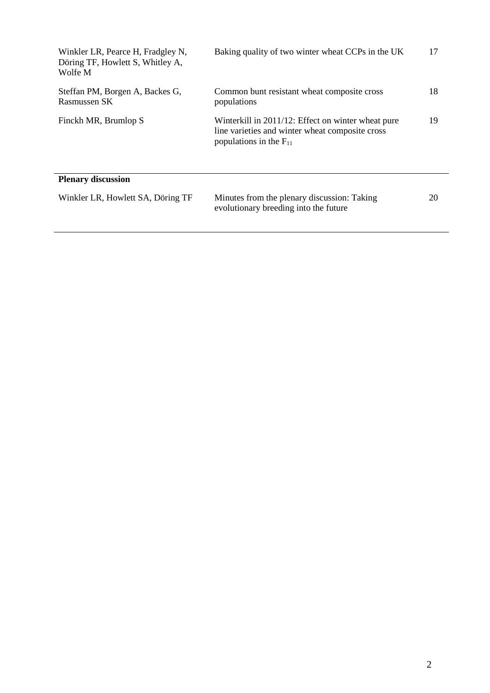| Winkler LR, Pearce H, Fradgley N,<br>Döring TF, Howlett S, Whitley A,<br>Wolfe M | Baking quality of two winter wheat CCPs in the UK                                                                                    | 17 |
|----------------------------------------------------------------------------------|--------------------------------------------------------------------------------------------------------------------------------------|----|
| Steffan PM, Borgen A, Backes G,<br>Rasmussen SK                                  | Common bunt resistant wheat composite cross<br>populations                                                                           | 18 |
| Finckh MR, Brumlop S                                                             | Winterkill in 2011/12: Effect on winter wheat pure<br>line varieties and winter wheat composite cross<br>populations in the $F_{11}$ | 19 |
| <b>Plenary discussion</b>                                                        |                                                                                                                                      |    |
| Winkler LR, Howlett SA, Döring TF                                                | Minutes from the plenary discussion: Taking<br>evolutionary breeding into the future                                                 | 20 |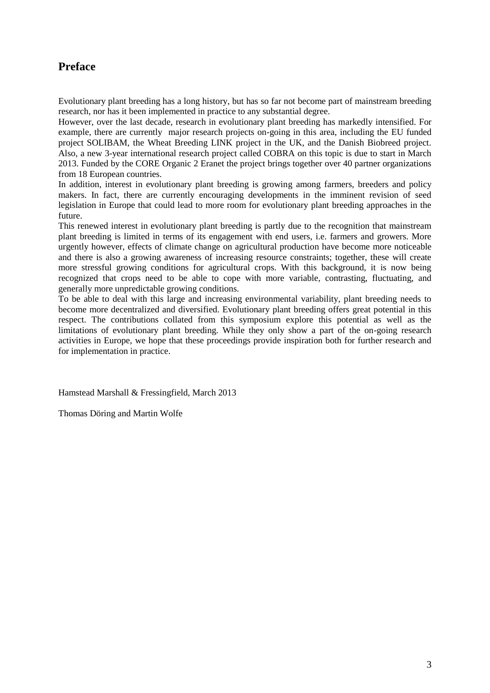# **Preface**

Evolutionary plant breeding has a long history, but has so far not become part of mainstream breeding research, nor has it been implemented in practice to any substantial degree.

However, over the last decade, research in evolutionary plant breeding has markedly intensified. For example, there are currently major research projects on-going in this area, including the EU funded project SOLIBAM, the Wheat Breeding LINK project in the UK, and the Danish Biobreed project. Also, a new 3-year international research project called COBRA on this topic is due to start in March 2013. Funded by the CORE Organic 2 Eranet the project brings together over 40 partner organizations from 18 European countries.

In addition, interest in evolutionary plant breeding is growing among farmers, breeders and policy makers. In fact, there are currently encouraging developments in the imminent revision of seed legislation in Europe that could lead to more room for evolutionary plant breeding approaches in the future.

This renewed interest in evolutionary plant breeding is partly due to the recognition that mainstream plant breeding is limited in terms of its engagement with end users, i.e. farmers and growers. More urgently however, effects of climate change on agricultural production have become more noticeable and there is also a growing awareness of increasing resource constraints; together, these will create more stressful growing conditions for agricultural crops. With this background, it is now being recognized that crops need to be able to cope with more variable, contrasting, fluctuating, and generally more unpredictable growing conditions.

To be able to deal with this large and increasing environmental variability, plant breeding needs to become more decentralized and diversified. Evolutionary plant breeding offers great potential in this respect. The contributions collated from this symposium explore this potential as well as the limitations of evolutionary plant breeding. While they only show a part of the on-going research activities in Europe, we hope that these proceedings provide inspiration both for further research and for implementation in practice.

Hamstead Marshall & Fressingfield, March 2013

Thomas Döring and Martin Wolfe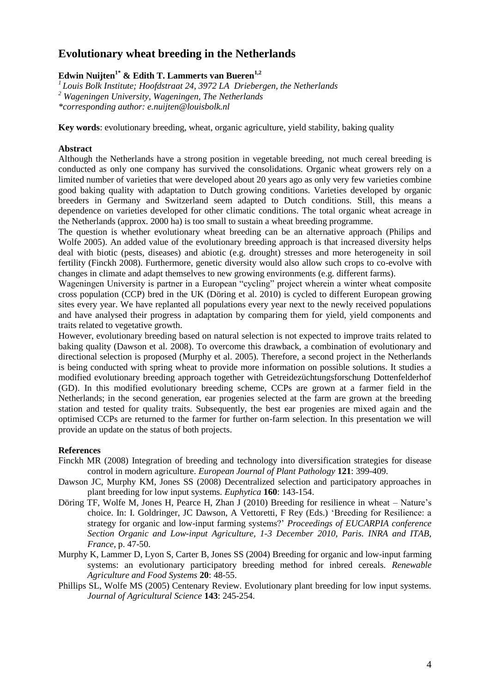## **Evolutionary wheat breeding in the Netherlands**

## **Edwin Nuijten1\* & Edith T. Lammerts van Bueren1,2**

*<sup>1</sup>Louis Bolk Institute; Hoofdstraat 24, 3972 LA Driebergen, the Netherlands <sup>2</sup> Wageningen University, Wageningen, The Netherlands*

*\*corresponding author: [e.nuijten@louisbolk.nl](mailto:e.nuijten@louisbolk.nl)*

**Key words**: evolutionary breeding, wheat, organic agriculture, yield stability, baking quality

### **Abstract**

Although the Netherlands have a strong position in vegetable breeding, not much cereal breeding is conducted as only one company has survived the consolidations. Organic wheat growers rely on a limited number of varieties that were developed about 20 years ago as only very few varieties combine good baking quality with adaptation to Dutch growing conditions. Varieties developed by organic breeders in Germany and Switzerland seem adapted to Dutch conditions. Still, this means a dependence on varieties developed for other climatic conditions. The total organic wheat acreage in the Netherlands (approx. 2000 ha) is too small to sustain a wheat breeding programme.

The question is whether evolutionary wheat breeding can be an alternative approach (Philips and Wolfe 2005). An added value of the evolutionary breeding approach is that increased diversity helps deal with biotic (pests, diseases) and abiotic (e.g. drought) stresses and more heterogeneity in soil fertility (Finckh 2008). Furthermore, genetic diversity would also allow such crops to co-evolve with changes in climate and adapt themselves to new growing environments (e.g. different farms).

Wageningen University is partner in a European "cycling" project wherein a winter wheat composite cross population (CCP) bred in the UK (Döring et al. 2010) is cycled to different European growing sites every year. We have replanted all populations every year next to the newly received populations and have analysed their progress in adaptation by comparing them for yield, yield components and traits related to vegetative growth.

However, evolutionary breeding based on natural selection is not expected to improve traits related to baking quality (Dawson et al. 2008). To overcome this drawback, a combination of evolutionary and directional selection is proposed (Murphy et al. 2005). Therefore, a second project in the Netherlands is being conducted with spring wheat to provide more information on possible solutions. It studies a modified evolutionary breeding approach together with Getreidezüchtungsforschung Dottenfelderhof (GD). In this modified evolutionary breeding scheme, CCPs are grown at a farmer field in the Netherlands; in the second generation, ear progenies selected at the farm are grown at the breeding station and tested for quality traits. Subsequently, the best ear progenies are mixed again and the optimised CCPs are returned to the farmer for further on-farm selection. In this presentation we will provide an update on the status of both projects.

- Finckh MR (2008) Integration of breeding and technology into diversification strategies for disease control in modern agriculture. *European Journal of Plant Pathology* **121**: 399-409.
- Dawson JC, Murphy KM, Jones SS (2008) Decentralized selection and participatory approaches in plant breeding for low input systems. *Euphytica* **160**: 143-154.
- Döring TF, Wolfe M, Jones H, Pearce H, Zhan J (2010) Breeding for resilience in wheat Nature's choice. In: I. Goldringer, JC Dawson, A Vettoretti, F Rey (Eds.) 'Breeding for Resilience: a strategy for organic and low-input farming systems?' *Proceedings of EUCARPIA conference Section Organic and Low-input Agriculture, 1-3 December 2010, Paris. INRA and ITAB, France*, p. 47-50.
- Murphy K, Lammer D, Lyon S, Carter B, Jones SS (2004) Breeding for organic and low-input farming systems: an evolutionary participatory breeding method for inbred cereals. *Renewable Agriculture and Food Systems* **20**: 48-55.
- Phillips SL, Wolfe MS (2005) Centenary Review. Evolutionary plant breeding for low input systems. *Journal of Agricultural Science* **143**: 245-254.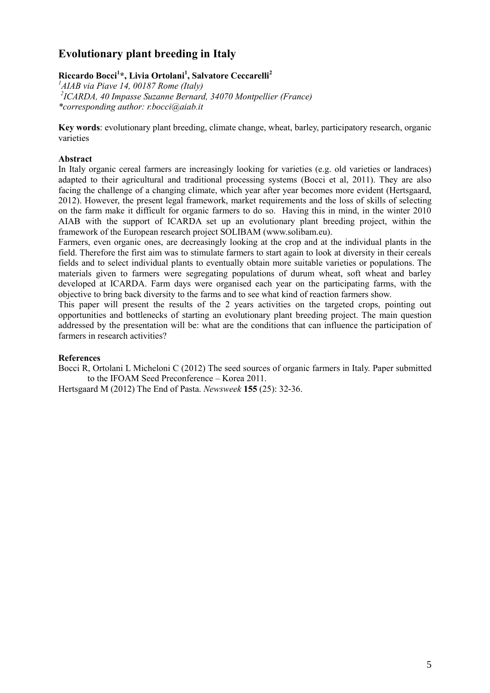# **Evolutionary plant breeding in Italy**

## **Riccardo Bocci<sup>1</sup> \*, Livia Ortolani<sup>1</sup> , Salvatore Ceccarelli<sup>2</sup>**

*<sup>1</sup>AIAB via Piave 14, 00187 Rome (Italy) 2 ICARDA, 40 Impasse Suzanne Bernard, 34070 Montpellier (France) \*corresponding author: r.bocci@aiab.it*

**Key words**: evolutionary plant breeding, climate change, wheat, barley, participatory research, organic varieties

### **Abstract**

In Italy organic cereal farmers are increasingly looking for varieties (e.g. old varieties or landraces) adapted to their agricultural and traditional processing systems (Bocci et al, 2011). They are also facing the challenge of a changing climate, which year after year becomes more evident (Hertsgaard, 2012). However, the present legal framework, market requirements and the loss of skills of selecting on the farm make it difficult for organic farmers to do so. Having this in mind, in the winter 2010 AIAB with the support of ICARDA set up an evolutionary plant breeding project, within the framework of the European research project SOLIBAM (www.solibam.eu).

Farmers, even organic ones, are decreasingly looking at the crop and at the individual plants in the field. Therefore the first aim was to stimulate farmers to start again to look at diversity in their cereals fields and to select individual plants to eventually obtain more suitable varieties or populations. The materials given to farmers were segregating populations of durum wheat, soft wheat and barley developed at ICARDA. Farm days were organised each year on the participating farms, with the objective to bring back diversity to the farms and to see what kind of reaction farmers show.

This paper will present the results of the 2 years activities on the targeted crops, pointing out opportunities and bottlenecks of starting an evolutionary plant breeding project. The main question addressed by the presentation will be: what are the conditions that can influence the participation of farmers in research activities?

### **References**

Bocci R, Ortolani L Micheloni C (2012) The seed sources of organic farmers in Italy. Paper submitted to the IFOAM Seed Preconference – Korea 2011.

Hertsgaard M (2012) The End of Pasta. *Newsweek* **155** (25): 32-36.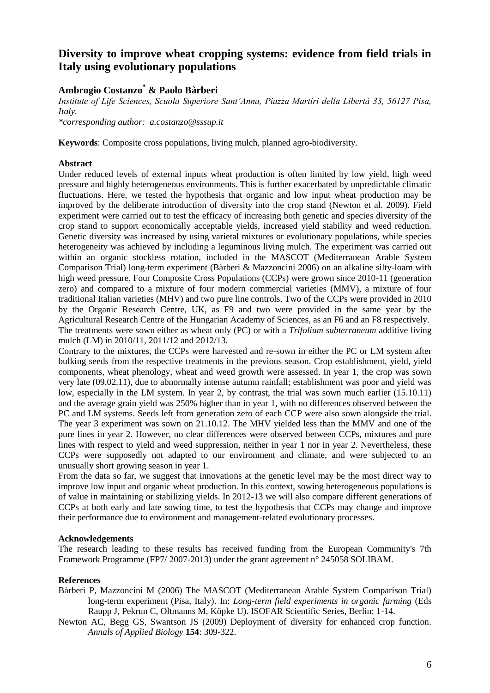## **Diversity to improve wheat cropping systems: evidence from field trials in Italy using evolutionary populations**

## **Ambrogio Costanzo\* & Paolo Bàrberi**

*Institute of Life Sciences, Scuola Superiore Sant'Anna, Piazza Martiri della Libertà 33, 56127 Pisa, Italy.* 

*\*corresponding author: a.costanzo@sssup.it*

**Keywords**: Composite cross populations, living mulch, planned agro-biodiversity.

### **Abstract**

Under reduced levels of external inputs wheat production is often limited by low yield, high weed pressure and highly heterogeneous environments. This is further exacerbated by unpredictable climatic fluctuations. Here, we tested the hypothesis that organic and low input wheat production may be improved by the deliberate introduction of diversity into the crop stand (Newton et al. 2009). Field experiment were carried out to test the efficacy of increasing both genetic and species diversity of the crop stand to support economically acceptable yields, increased yield stability and weed reduction. Genetic diversity was increased by using varietal mixtures or evolutionary populations, while species heterogeneity was achieved by including a leguminous living mulch. The experiment was carried out within an organic stockless rotation, included in the MASCOT (Mediterranean Arable System Comparison Trial) long-term experiment (Bàrberi & Mazzoncini 2006) on an alkaline silty-loam with high weed pressure. Four Composite Cross Populations (CCPs) were grown since 2010-11 (generation zero) and compared to a mixture of four modern commercial varieties (MMV), a mixture of four traditional Italian varieties (MHV) and two pure line controls. Two of the CCPs were provided in 2010 by the Organic Research Centre, UK, as F9 and two were provided in the same year by the Agricultural Research Centre of the Hungarian Academy of Sciences, as an F6 and an F8 respectively. The treatments were sown either as wheat only (PC) or with a *Trifolium subterraneum* additive living mulch (LM) in 2010/11, 2011/12 and 2012/13.

Contrary to the mixtures, the CCPs were harvested and re-sown in either the PC or LM system after bulking seeds from the respective treatments in the previous season. Crop establishment, yield, yield components, wheat phenology, wheat and weed growth were assessed. In year 1, the crop was sown very late (09.02.11), due to abnormally intense autumn rainfall; establishment was poor and yield was low, especially in the LM system. In year 2, by contrast, the trial was sown much earlier (15.10.11) and the average grain yield was 250% higher than in year 1, with no differences observed between the PC and LM systems. Seeds left from generation zero of each CCP were also sown alongside the trial. The year 3 experiment was sown on 21.10.12. The MHV yielded less than the MMV and one of the pure lines in year 2. However, no clear differences were observed between CCPs, mixtures and pure lines with respect to yield and weed suppression, neither in year 1 nor in year 2. Nevertheless, these CCPs were supposedly not adapted to our environment and climate, and were subjected to an unusually short growing season in year 1.

From the data so far, we suggest that innovations at the genetic level may be the most direct way to improve low input and organic wheat production. In this context, sowing heterogeneous populations is of value in maintaining or stabilizing yields. In 2012-13 we will also compare different generations of CCPs at both early and late sowing time, to test the hypothesis that CCPs may change and improve their performance due to environment and management-related evolutionary processes.

### **Acknowledgements**

The research leading to these results has received funding from the European Community's 7th Framework Programme (FP7/ 2007-2013) under the grant agreement n° 245058 SOLIBAM.

- Bàrberi P, Mazzoncini M (2006) The MASCOT (Mediterranean Arable System Comparison Trial) long-term experiment (Pisa, Italy). In: *Long-term field experiments in organic farming* (Eds Raupp J, Pekrun C, Oltmanns M, Köpke U). ISOFAR Scientific Series, Berlin: 1-14.
- Newton AC, Begg GS, Swantson JS (2009) Deployment of diversity for enhanced crop function. *Annals of Applied Biology* **154**: 309-322.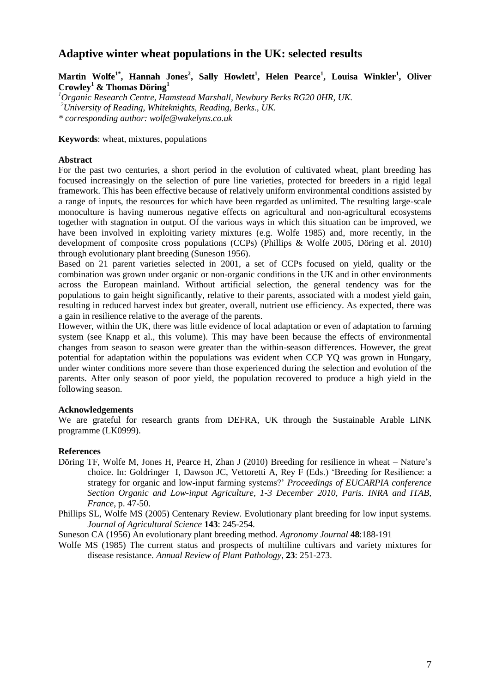## **Adaptive winter wheat populations in the UK: selected results**

**Martin Wolfe1\*, Hannah Jones<sup>2</sup> , Sally Howlett<sup>1</sup> , Helen Pearce<sup>1</sup> , Louisa Winkler<sup>1</sup> , Oliver Crowley<sup>1</sup> & Thomas Döring<sup>1</sup>**

*<sup>1</sup>Organic Research Centre, Hamstead Marshall, Newbury Berks RG20 0HR, UK. <sup>2</sup>University of Reading, Whiteknights, Reading, Berks., UK. \* corresponding author: wolfe@wakelyns.co.uk*

### **Keywords**: wheat, mixtures, populations

### **Abstract**

For the past two centuries, a short period in the evolution of cultivated wheat, plant breeding has focused increasingly on the selection of pure line varieties, protected for breeders in a rigid legal framework. This has been effective because of relatively uniform environmental conditions assisted by a range of inputs, the resources for which have been regarded as unlimited. The resulting large-scale monoculture is having numerous negative effects on agricultural and non-agricultural ecosystems together with stagnation in output. Of the various ways in which this situation can be improved, we have been involved in exploiting variety mixtures (e.g. Wolfe 1985) and, more recently, in the development of composite cross populations (CCPs) (Phillips & Wolfe 2005, Döring et al. 2010) through evolutionary plant breeding (Suneson 1956).

Based on 21 parent varieties selected in 2001, a set of CCPs focused on yield, quality or the combination was grown under organic or non-organic conditions in the UK and in other environments across the European mainland. Without artificial selection, the general tendency was for the populations to gain height significantly, relative to their parents, associated with a modest yield gain, resulting in reduced harvest index but greater, overall, nutrient use efficiency. As expected, there was a gain in resilience relative to the average of the parents.

However, within the UK, there was little evidence of local adaptation or even of adaptation to farming system (see Knapp et al., this volume). This may have been because the effects of environmental changes from season to season were greater than the within-season differences. However, the great potential for adaptation within the populations was evident when CCP YQ was grown in Hungary, under winter conditions more severe than those experienced during the selection and evolution of the parents. After only season of poor yield, the population recovered to produce a high yield in the following season.

#### **Acknowledgements**

We are grateful for research grants from DEFRA, UK through the Sustainable Arable LINK programme (LK0999).

- Döring TF, Wolfe M, Jones H, Pearce H, Zhan J (2010) Breeding for resilience in wheat Nature's choice. In: Goldringer I, Dawson JC, Vettoretti A, Rey F (Eds.) 'Breeding for Resilience: a strategy for organic and low-input farming systems?' *Proceedings of EUCARPIA conference Section Organic and Low-input Agriculture, 1-3 December 2010, Paris. INRA and ITAB, France*, p. 47-50.
- Phillips SL, Wolfe MS (2005) Centenary Review. Evolutionary plant breeding for low input systems. *Journal of Agricultural Science* **143**: 245-254.
- Suneson CA (1956) An evolutionary plant breeding method. *Agronomy Journal* **48**:188-191
- Wolfe MS (1985) The current status and prospects of multiline cultivars and variety mixtures for disease resistance. *Annual Review of Plant Pathology*, **23**: 251-273.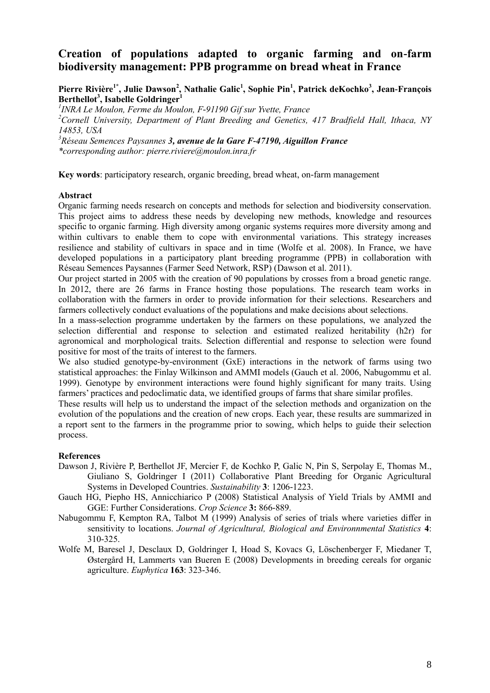## **Creation of populations adapted to organic farming and on-farm biodiversity management: PPB programme on bread wheat in France**

## **Pierre Rivière1\*, Julie Dawson<sup>2</sup> , Nathalie Galic<sup>1</sup> , Sophie Pin<sup>1</sup> , Patrick deKochko<sup>3</sup> , Jean-François Berthellot<sup>3</sup> , Isabelle Goldringer<sup>1</sup>**

*1 INRA Le Moulon, Ferme du Moulon, F-91190 Gif sur Yvette, France*

*<sup>2</sup>Cornell University, Department of Plant Breeding and Genetics, 417 Bradfield Hall, Ithaca, NY 14853, USA*

*<sup>3</sup>Réseau Semences Paysannes 3, avenue de la Gare F-47190, Aiguillon France \*corresponding author: pierre.riviere@moulon.inra.fr*

**Key words**: participatory research, organic breeding, bread wheat, on-farm management

### **Abstract**

Organic farming needs research on concepts and methods for selection and biodiversity conservation. This project aims to address these needs by developing new methods, knowledge and resources specific to organic farming. High diversity among organic systems requires more diversity among and within cultivars to enable them to cope with environmental variations. This strategy increases resilience and stability of cultivars in space and in time (Wolfe et al. 2008). In France, we have developed populations in a participatory plant breeding programme (PPB) in collaboration with Réseau Semences Paysannes (Farmer Seed Network, RSP) (Dawson et al. 2011).

Our project started in 2005 with the creation of 90 populations by crosses from a broad genetic range. In 2012, there are 26 farms in France hosting those populations. The research team works in collaboration with the farmers in order to provide information for their selections. Researchers and farmers collectively conduct evaluations of the populations and make decisions about selections.

In a mass-selection programme undertaken by the farmers on these populations, we analyzed the selection differential and response to selection and estimated realized heritability (h2r) for agronomical and morphological traits. Selection differential and response to selection were found positive for most of the traits of interest to the farmers.

We also studied genotype-by-environment (GxE) interactions in the network of farms using two statistical approaches: the Finlay Wilkinson and AMMI models (Gauch et al. 2006, Nabugommu et al. 1999). Genotype by environment interactions were found highly significant for many traits. Using farmers' practices and pedoclimatic data, we identified groups of farms that share similar profiles.

These results will help us to understand the impact of the selection methods and organization on the evolution of the populations and the creation of new crops. Each year, these results are summarized in a report sent to the farmers in the programme prior to sowing, which helps to guide their selection process.

- Dawson J, Rivière P, Berthellot JF, Mercier F, de Kochko P, Galic N, Pin S, Serpolay E, Thomas M., Giuliano S, Goldringer I (2011) Collaborative Plant Breeding for Organic Agricultural Systems in Developed Countries. *Sustainability* **3**: 1206-1223.
- Gauch HG, Piepho HS, Annicchiarico P (2008) Statistical Analysis of Yield Trials by AMMI and GGE: Further Considerations. *Crop Science* **3:** 866-889.
- Nabugommu F, Kempton RA, Talbot M (1999) Analysis of series of trials where varieties differ in sensitivity to locations. *Journal of Agricultural, Biological and Environnmental Statistics* **4**: 310-325.
- Wolfe M, Baresel J, Desclaux D, Goldringer I, Hoad S, Kovacs G, Löschenberger F, Miedaner T, Østergård H, Lammerts van Bueren E (2008) Developments in breeding cereals for organic agriculture. *Euphytica* **163**: 323-346.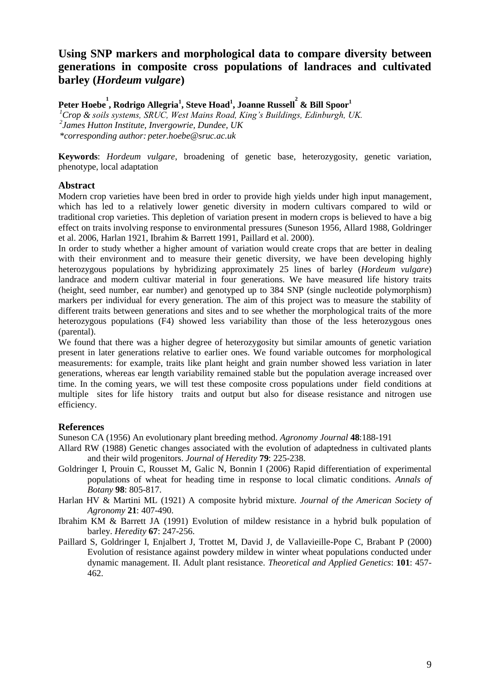## **Using SNP markers and morphological data to compare diversity between generations in composite cross populations of landraces and cultivated barley (***Hordeum vulgare***)**

**Peter Hoebe 1 , Rodrigo Allegria<sup>1</sup> , Steve Hoad<sup>1</sup> , Joanne Russell 2 & Bill Spoor<sup>1</sup>** *<sup>1</sup>Crop & soils systems, SRUC, West Mains Road, King's Buildings, Edinburgh, UK. 2 James Hutton Institute, Invergowrie, Dundee, UK \*corresponding author: peter.hoebe@sruc.ac.uk*

**Keywords**: *Hordeum vulgare*, broadening of genetic base, heterozygosity, genetic variation, phenotype, local adaptation

## **Abstract**

Modern crop varieties have been bred in order to provide high yields under high input management, which has led to a relatively lower genetic diversity in modern cultivars compared to wild or traditional crop varieties. This depletion of variation present in modern crops is believed to have a big effect on traits involving response to environmental pressures (Suneson 1956, Allard 1988, Goldringer et al. 2006, Harlan 1921, Ibrahim & Barrett 1991, Paillard et al. 2000).

In order to study whether a higher amount of variation would create crops that are better in dealing with their environment and to measure their genetic diversity, we have been developing highly heterozygous populations by hybridizing approximately 25 lines of barley (*Hordeum vulgare*) landrace and modern cultivar material in four generations. We have measured life history traits (height, seed number, ear number) and genotyped up to 384 SNP (single nucleotide polymorphism) markers per individual for every generation. The aim of this project was to measure the stability of different traits between generations and sites and to see whether the morphological traits of the more heterozygous populations (F4) showed less variability than those of the less heterozygous ones (parental).

We found that there was a higher degree of heterozyposity but similar amounts of genetic variation present in later generations relative to earlier ones. We found variable outcomes for morphological measurements: for example, traits like plant height and grain number showed less variation in later generations, whereas ear length variability remained stable but the population average increased over time. In the coming years, we will test these composite cross populations under field conditions at multiple sites for life history traits and output but also for disease resistance and nitrogen use efficiency.

## **References**

Suneson CA (1956) An evolutionary plant breeding method. *Agronomy Journal* **48**:188-191

- Allard RW (1988) Genetic changes associated with the evolution of adaptedness in cultivated plants and their wild progenitors. *Journal of Heredity* **79**: 225-238.
- Goldringer I, Prouin C, Rousset M, Galic N, Bonnin I (2006) Rapid differentiation of experimental populations of wheat for heading time in response to local climatic conditions. *Annals of Botany* **98**: 805-817.
- Harlan HV & Martini ML (1921) A composite hybrid mixture. *Journal of the American Society of Agronomy* **21**: 407-490.
- Ibrahim KM & Barrett JA (1991) Evolution of mildew resistance in a hybrid bulk population of barley. *Heredity* **67**: 247-256.
- Paillard S, Goldringer I, Enjalbert J, Trottet M, David J, de Vallavieille-Pope C, Brabant P (2000) Evolution of resistance against powdery mildew in winter wheat populations conducted under dynamic management. II. Adult plant resistance. *Theoretical and Applied Genetics*: **101**: 457- 462.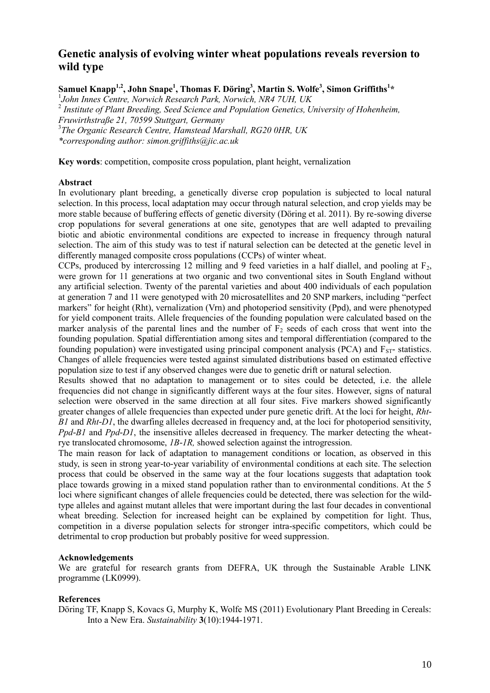## **Genetic analysis of evolving winter wheat populations reveals reversion to wild type**

**Samuel Knapp1,2, John Snape<sup>1</sup> , Thomas F. Döring<sup>3</sup> , Martin S. Wolfe<sup>3</sup> , Simon Griffiths<sup>1</sup> \***

1 *John Innes Centre, Norwich Research Park, Norwich, NR4 7UH, UK*  2 *Institute of Plant Breeding, Seed Science and Population Genetics, University of Hohenheim, Fruwirthstraße 21, 70599 Stuttgart, Germany* 3 *The Organic Research Centre, Hamstead Marshall, RG20 0HR, UK \*corresponding author: simon.griffiths@jic.ac.uk*

**Key words**: competition, composite cross population, plant height, vernalization

#### **Abstract**

In evolutionary plant breeding, a genetically diverse crop population is subjected to local natural selection. In this process, local adaptation may occur through natural selection, and crop yields may be more stable because of buffering effects of genetic diversity (Döring et al. 2011). By re-sowing diverse crop populations for several generations at one site, genotypes that are well adapted to prevailing biotic and abiotic environmental conditions are expected to increase in frequency through natural selection. The aim of this study was to test if natural selection can be detected at the genetic level in differently managed composite cross populations (CCPs) of winter wheat.

CCPs, produced by intercrossing 12 milling and 9 feed varieties in a half diallel, and pooling at  $F_2$ , were grown for 11 generations at two organic and two conventional sites in South England without any artificial selection. Twenty of the parental varieties and about 400 individuals of each population at generation 7 and 11 were genotyped with 20 microsatellites and 20 SNP markers, including "perfect markers" for height (Rht), vernalization (Vrn) and photoperiod sensitivity (Ppd), and were phenotyped for yield component traits. Allele frequencies of the founding population were calculated based on the marker analysis of the parental lines and the number of  $F_2$  seeds of each cross that went into the founding population. Spatial differentiation among sites and temporal differentiation (compared to the founding population) were investigated using principal component analysis (PCA) and  $F<sub>ST</sub>$ - statistics. Changes of allele frequencies were tested against simulated distributions based on estimated effective population size to test if any observed changes were due to genetic drift or natural selection.

Results showed that no adaptation to management or to sites could be detected, i.e. the allele frequencies did not change in significantly different ways at the four sites. However, signs of natural selection were observed in the same direction at all four sites. Five markers showed significantly greater changes of allele frequencies than expected under pure genetic drift. At the loci for height, *Rht-B1* and *Rht-D1*, the dwarfing alleles decreased in frequency and, at the loci for photoperiod sensitivity, *Ppd-B1* and *Ppd-D1*, the insensitive alleles decreased in frequency. The marker detecting the wheatrye translocated chromosome, *1B-1R,* showed selection against the introgression.

The main reason for lack of adaptation to management conditions or location, as observed in this study, is seen in strong year-to-year variability of environmental conditions at each site. The selection process that could be observed in the same way at the four locations suggests that adaptation took place towards growing in a mixed stand population rather than to environmental conditions. At the 5 loci where significant changes of allele frequencies could be detected, there was selection for the wildtype alleles and against mutant alleles that were important during the last four decades in conventional wheat breeding. Selection for increased height can be explained by competition for light. Thus, competition in a diverse population selects for stronger intra-specific competitors, which could be detrimental to crop production but probably positive for weed suppression.

### **Acknowledgements**

We are grateful for research grants from DEFRA, UK through the Sustainable Arable LINK programme (LK0999).

#### **References**

Döring TF, Knapp S, Kovacs G, Murphy K, Wolfe MS (2011) Evolutionary Plant Breeding in Cereals: Into a New Era. *Sustainability* **3**(10):1944-1971.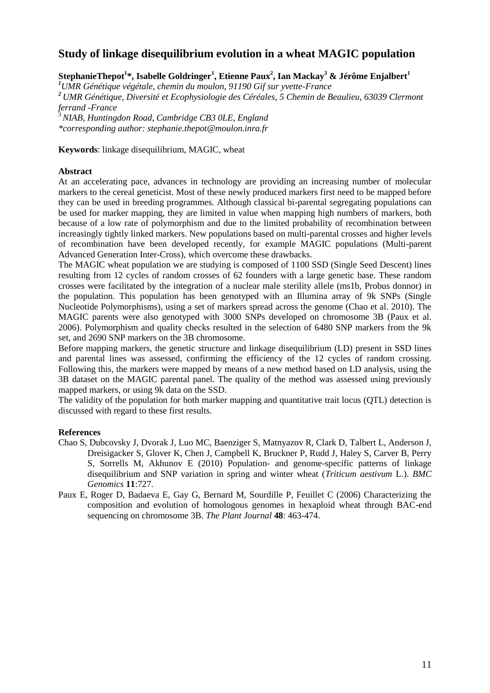## **Study of linkage disequilibrium evolution in a wheat MAGIC population**

**StephanieThepot<sup>1</sup> \*, Isabelle Goldringer<sup>1</sup> , Etienne Paux<sup>2</sup> , Ian Mackay<sup>3</sup> & Jérôme Enjalbert<sup>1</sup>**

*UMR Génétique végétale, chemin du moulon, 91190 Gif sur yvette-France UMR Génétique, Diversité et Ecophysiologie des Céréales, 5 Chemin de Beaulieu, 63039 Clermont ferrand -France NIAB, Huntingdon Road, Cambridge CB3 0LE, England*

*\*corresponding author: stephanie.thepot@moulon.inra.fr*

**Keywords**: linkage disequilibrium, MAGIC, wheat

### **Abstract**

At an accelerating pace, advances in technology are providing an increasing number of molecular markers to the cereal geneticist. Most of these newly produced markers first need to be mapped before they can be used in breeding programmes. Although classical bi-parental segregating populations can be used for marker mapping, they are limited in value when mapping high numbers of markers, both because of a low rate of polymorphism and due to the limited probability of recombination between increasingly tightly linked markers. New populations based on multi-parental crosses and higher levels of recombination have been developed recently, for example MAGIC populations (Multi-parent Advanced Generation Inter-Cross), which overcome these drawbacks.

The MAGIC wheat population we are studying is composed of 1100 SSD (Single Seed Descent) lines resulting from 12 cycles of random crosses of 62 founders with a large genetic base. These random crosses were facilitated by the integration of a nuclear male sterility allele (ms1b, Probus donnor) in the population. This population has been genotyped with an Illumina array of 9k SNPs (Single Nucleotide Polymorphisms), using a set of markers spread across the genome (Chao et al. 2010). The MAGIC parents were also genotyped with 3000 SNPs developed on chromosome 3B (Paux et al. 2006). Polymorphism and quality checks resulted in the selection of 6480 SNP markers from the 9k set, and 2690 SNP markers on the 3B chromosome.

Before mapping markers, the genetic structure and linkage disequilibrium (LD) present in SSD lines and parental lines was assessed, confirming the efficiency of the 12 cycles of random crossing. Following this, the markers were mapped by means of a new method based on LD analysis, using the 3B dataset on the MAGIC parental panel. The quality of the method was assessed using previously mapped markers, or using 9k data on the SSD.

The validity of the population for both marker mapping and quantitative trait locus (QTL) detection is discussed with regard to these first results.

- Chao S, Dubcovsky J, Dvorak J, Luo MC, Baenziger S, Matnyazov R, Clark D, Talbert L, Anderson J, Dreisigacker S, Glover K, Chen J, Campbell K, Bruckner P, Rudd J, Haley S, Carver B, Perry S, Sorrells M, Akhunov E (2010) Population- and genome-specific patterns of linkage disequilibrium and SNP variation in spring and winter wheat (*Triticum aestivum* L.). *BMC Genomics* **11**:727.
- Paux E, Roger D, Badaeva E, Gay G, Bernard M, Sourdille P, Feuillet C (2006) Characterizing the composition and evolution of homologous genomes in hexaploid wheat through BAC-end sequencing on chromosome 3B. *The Plant Journal* **48**: 463-474.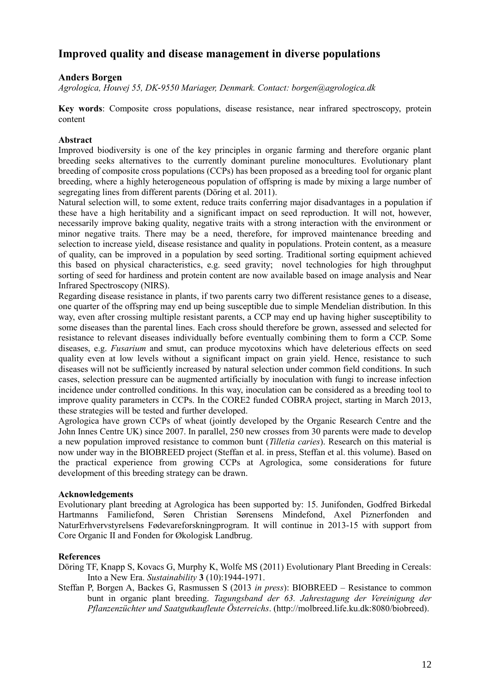## **Improved quality and disease management in diverse populations**

## **Anders Borgen**

*Agrologica, Houvej 55, DK-9550 Mariager, Denmark. Contact: [borgen@agrologica.dk](mailto:borgen@agrologica.dk)*

**Key words**: Composite cross populations, disease resistance, near infrared spectroscopy, protein content

## **Abstract**

Improved biodiversity is one of the key principles in organic farming and therefore organic plant breeding seeks alternatives to the currently dominant pureline monocultures. Evolutionary plant breeding of composite cross populations (CCPs) has been proposed as a breeding tool for organic plant breeding, where a highly heterogeneous population of offspring is made by mixing a large number of segregating lines from different parents (Döring et al. 2011).

Natural selection will, to some extent, reduce traits conferring major disadvantages in a population if these have a high heritability and a significant impact on seed reproduction. It will not, however, necessarily improve baking quality, negative traits with a strong interaction with the environment or minor negative traits. There may be a need, therefore, for improved maintenance breeding and selection to increase yield, disease resistance and quality in populations. Protein content, as a measure of quality, can be improved in a population by seed sorting. Traditional sorting equipment achieved this based on physical characteristics, e.g. seed gravity; novel technologies for high throughput sorting of seed for hardiness and protein content are now available based on image analysis and Near Infrared Spectroscopy (NIRS).

Regarding disease resistance in plants, if two parents carry two different resistance genes to a disease, one quarter of the offspring may end up being susceptible due to simple Mendelian distribution. In this way, even after crossing multiple resistant parents, a CCP may end up having higher susceptibility to some diseases than the parental lines. Each cross should therefore be grown, assessed and selected for resistance to relevant diseases individually before eventually combining them to form a CCP. Some diseases, e.g. *Fusarium* and smut, can produce mycotoxins which have deleterious effects on seed quality even at low levels without a significant impact on grain yield. Hence, resistance to such diseases will not be sufficiently increased by natural selection under common field conditions. In such cases, selection pressure can be augmented artificially by inoculation with fungi to increase infection incidence under controlled conditions. In this way, inoculation can be considered as a breeding tool to improve quality parameters in CCPs. In the CORE2 funded COBRA project, starting in March 2013, these strategies will be tested and further developed.

Agrologica have grown CCPs of wheat (jointly developed by the Organic Research Centre and the John Innes Centre UK) since 2007. In parallel, 250 new crosses from 30 parents were made to develop a new population improved resistance to common bunt (*Tilletia caries*). Research on this material is now under way in the BIOBREED project (Steffan et al. in press, Steffan et al. this volume). Based on the practical experience from growing CCPs at Agrologica, some considerations for future development of this breeding strategy can be drawn.

### **Acknowledgements**

Evolutionary plant breeding at Agrologica has been supported by: 15. Junifonden, Godfred Birkedal Hartmanns Familiefond, Søren Christian Sørensens Mindefond, Axel Piznerfonden and NaturErhvervstyrelsens Fødevareforskningprogram. It will continue in 2013-15 with support from Core Organic II and Fonden for Økologisk Landbrug.

## **References**

Döring TF, Knapp S, Kovacs G, Murphy K, Wolfe MS (2011) Evolutionary Plant Breeding in Cereals: Into a New Era. *Sustainability* **3** (10):1944-1971.

Steffan P, Borgen A, Backes G, Rasmussen S (2013 *in press*): BIOBREED – Resistance to common bunt in organic plant breeding. *Tagungsband der 63. Jahrestagung der Vereinigung der Pflanzenzüchter und Saatgutkaufleute Österreichs*. (http://molbreed.life.ku.dk:8080/biobreed).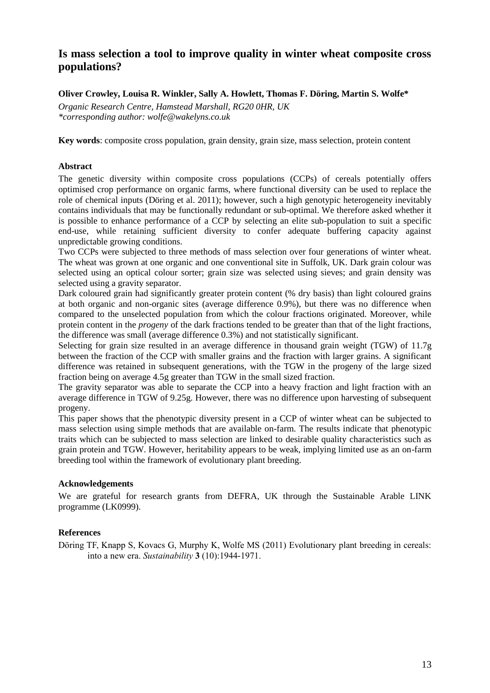## **Is mass selection a tool to improve quality in winter wheat composite cross populations?**

## **Oliver Crowley, Louisa R. Winkler, Sally A. Howlett, Thomas F. Döring, Martin S. Wolfe\***

*Organic Research Centre, Hamstead Marshall, RG20 0HR, UK \*corresponding author: wolfe@wakelyns.co.uk*

**Key words**: composite cross population, grain density, grain size, mass selection, protein content

## **Abstract**

The genetic diversity within composite cross populations (CCPs) of cereals potentially offers optimised crop performance on organic farms, where functional diversity can be used to replace the role of chemical inputs (Döring et al. 2011); however, such a high genotypic heterogeneity inevitably contains individuals that may be functionally redundant or sub-optimal. We therefore asked whether it is possible to enhance performance of a CCP by selecting an elite sub-population to suit a specific end-use, while retaining sufficient diversity to confer adequate buffering capacity against unpredictable growing conditions.

Two CCPs were subjected to three methods of mass selection over four generations of winter wheat. The wheat was grown at one organic and one conventional site in Suffolk, UK. Dark grain colour was selected using an optical colour sorter; grain size was selected using sieves; and grain density was selected using a gravity separator.

Dark coloured grain had significantly greater protein content (% dry basis) than light coloured grains at both organic and non-organic sites (average difference 0.9%), but there was no difference when compared to the unselected population from which the colour fractions originated. Moreover, while protein content in the *progeny* of the dark fractions tended to be greater than that of the light fractions, the difference was small (average difference 0.3%) and not statistically significant.

Selecting for grain size resulted in an average difference in thousand grain weight (TGW) of 11.7g between the fraction of the CCP with smaller grains and the fraction with larger grains. A significant difference was retained in subsequent generations, with the TGW in the progeny of the large sized fraction being on average 4.5g greater than TGW in the small sized fraction.

The gravity separator was able to separate the CCP into a heavy fraction and light fraction with an average difference in TGW of 9.25g. However, there was no difference upon harvesting of subsequent progeny.

This paper shows that the phenotypic diversity present in a CCP of winter wheat can be subjected to mass selection using simple methods that are available on-farm. The results indicate that phenotypic traits which can be subjected to mass selection are linked to desirable quality characteristics such as grain protein and TGW. However, heritability appears to be weak, implying limited use as an on-farm breeding tool within the framework of evolutionary plant breeding.

## **Acknowledgements**

We are grateful for research grants from DEFRA, UK through the Sustainable Arable LINK programme (LK0999).

## **References**

Döring TF, Knapp S, Kovacs G, Murphy K, Wolfe MS (2011) Evolutionary plant breeding in cereals: into a new era. *Sustainability* **3** (10):1944-1971.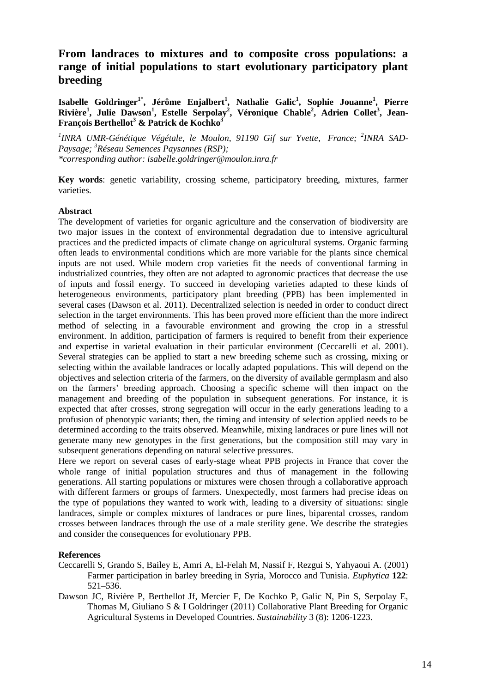## **From landraces to mixtures and to composite cross populations: a range of initial populations to start evolutionary participatory plant breeding**

**Isabelle Goldringer1\* , Jérôme Enjalbert<sup>1</sup> , Nathalie Galic<sup>1</sup> , Sophie Jouanne<sup>1</sup> , Pierre Rivière<sup>1</sup> , Julie Dawson<sup>1</sup> , Estelle Serpolay<sup>2</sup> , Véronique Chable<sup>2</sup> , Adrien Collet<sup>3</sup> , Jean-François Berthellot<sup>3</sup> & Patrick de Kochko<sup>3</sup>**

*1 INRA UMR-Génétique Végétale, le Moulon, 91190 Gif sur Yvette, France; <sup>2</sup> INRA SAD-Paysage; <sup>3</sup>Réseau Semences Paysannes (RSP); \*corresponding author: isabelle.goldringer@moulon.inra.fr*

**Key words**: genetic variability, crossing scheme, participatory breeding, mixtures, farmer varieties.

### **Abstract**

The development of varieties for organic agriculture and the conservation of biodiversity are two major issues in the context of environmental degradation due to intensive agricultural practices and the predicted impacts of climate change on agricultural systems. Organic farming often leads to environmental conditions which are more variable for the plants since chemical inputs are not used. While modern crop varieties fit the needs of conventional farming in industrialized countries, they often are not adapted to agronomic practices that decrease the use of inputs and fossil energy. To succeed in developing varieties adapted to these kinds of heterogeneous environments, participatory plant breeding (PPB) has been implemented in several cases (Dawson et al. 2011). Decentralized selection is needed in order to conduct direct selection in the target environments. This has been proved more efficient than the more indirect method of selecting in a favourable environment and growing the crop in a stressful environment. In addition, participation of farmers is required to benefit from their experience and expertise in varietal evaluation in their particular environment (Ceccarelli et al. 2001). Several strategies can be applied to start a new breeding scheme such as crossing, mixing or selecting within the available landraces or locally adapted populations. This will depend on the objectives and selection criteria of the farmers, on the diversity of available germplasm and also on the farmers' breeding approach. Choosing a specific scheme will then impact on the management and breeding of the population in subsequent generations. For instance, it is expected that after crosses, strong segregation will occur in the early generations leading to a profusion of phenotypic variants; then, the timing and intensity of selection applied needs to be determined according to the traits observed. Meanwhile, mixing landraces or pure lines will not generate many new genotypes in the first generations, but the composition still may vary in subsequent generations depending on natural selective pressures.

Here we report on several cases of early-stage wheat PPB projects in France that cover the whole range of initial population structures and thus of management in the following generations. All starting populations or mixtures were chosen through a collaborative approach with different farmers or groups of farmers. Unexpectedly, most farmers had precise ideas on the type of populations they wanted to work with, leading to a diversity of situations: single landraces, simple or complex mixtures of landraces or pure lines, biparental crosses, random crosses between landraces through the use of a male sterility gene. We describe the strategies and consider the consequences for evolutionary PPB.

- Ceccarelli S, Grando S, Bailey E, Amri A, El-Felah M, Nassif F, Rezgui S, Yahyaoui A. (2001) Farmer participation in barley breeding in Syria, Morocco and Tunisia. *Euphytica* **122**: 521–536.
- Dawson JC, Rivière P, Berthellot Jf, Mercier F, De Kochko P, Galic N, Pin S, Serpolay E, Thomas M, Giuliano S & I Goldringer (2011) Collaborative Plant Breeding for Organic Agricultural Systems in Developed Countries. *Sustainability* 3 (8): 1206-1223.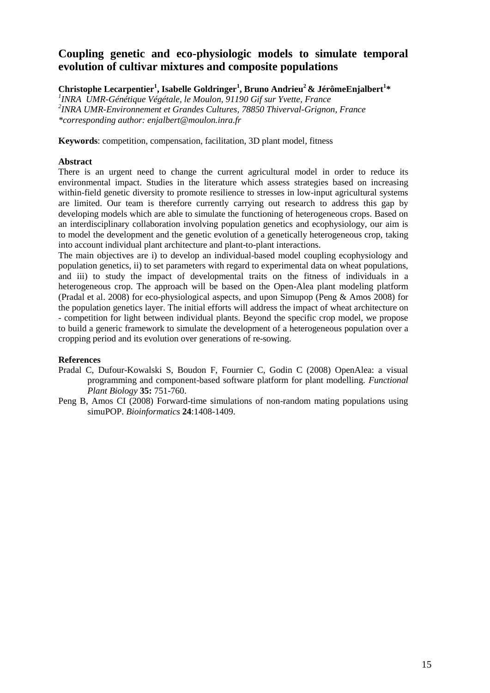## **Coupling genetic and eco-physiologic models to simulate temporal evolution of cultivar mixtures and composite populations**

**Christophe Lecarpentier<sup>1</sup> , Isabelle Goldringer<sup>1</sup> , Bruno Andrieu<sup>2</sup> & JérômeEnjalbert<sup>1</sup> \***

*1 INRA UMR-Génétique Végétale, le Moulon, 91190 Gif sur Yvette, France 2 INRA UMR-Environnement et Grandes Cultures, 78850 Thiverval-Grignon, France \*corresponding author: enjalbert@moulon.inra.fr*

**Keywords**: competition, compensation, facilitation, 3D plant model, fitness

### **Abstract**

There is an urgent need to change the current agricultural model in order to reduce its environmental impact. Studies in the literature which assess strategies based on increasing within-field genetic diversity to promote resilience to stresses in low-input agricultural systems are limited. Our team is therefore currently carrying out research to address this gap by developing models which are able to simulate the functioning of heterogeneous crops. Based on an interdisciplinary collaboration involving population genetics and ecophysiology, our aim is to model the development and the genetic evolution of a genetically heterogeneous crop, taking into account individual plant architecture and plant-to-plant interactions.

The main objectives are i) to develop an individual-based model coupling ecophysiology and population genetics, ii) to set parameters with regard to experimental data on wheat populations, and iii) to study the impact of developmental traits on the fitness of individuals in a heterogeneous crop. The approach will be based on the Open-Alea plant modeling platform (Pradal et al. 2008) for eco-physiological aspects, and upon Simupop (Peng & Amos 2008) for the population genetics layer. The initial efforts will address the impact of wheat architecture on - competition for light between individual plants. Beyond the specific crop model, we propose to build a generic framework to simulate the development of a heterogeneous population over a cropping period and its evolution over generations of re-sowing.

- Pradal C, Dufour-Kowalski S, Boudon F, Fournier C, Godin C (2008) OpenAlea: a visual programming and component-based software platform for plant modelling. *Functional Plant Biology* **35:** 751-760.
- Peng B, Amos CI (2008) Forward-time simulations of non-random mating populations using simuPOP. *Bioinformatics* **24**:1408-1409.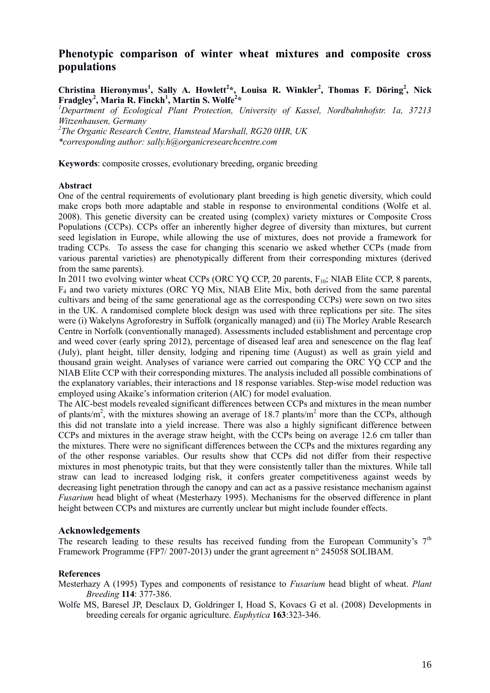## **Phenotypic comparison of winter wheat mixtures and composite cross populations**

**Christina Hieronymus<sup>1</sup> , Sally A. Howlett<sup>2</sup> \*, Louisa R. Winkler<sup>2</sup> , Thomas F. Döring<sup>2</sup> , Nick Fradgley<sup>2</sup> , Maria R. Finckh<sup>1</sup> , Martin S. Wolfe<sup>2</sup> \***

*<sup>1</sup>Department of Ecological Plant Protection, University of Kassel, Nordbahnhofstr. 1a, 37213 Witzenhausen, Germany*

*2 The Organic Research Centre, Hamstead Marshall, RG20 0HR, UK \*corresponding author: sally.h@organicresearchcentre.com*

**Keywords**: composite crosses, evolutionary breeding, organic breeding

#### **Abstract**

One of the central requirements of evolutionary plant breeding is high genetic diversity, which could make crops both more adaptable and stable in response to environmental conditions (Wolfe et al. 2008). This genetic diversity can be created using (complex) variety mixtures or Composite Cross Populations (CCPs). CCPs offer an inherently higher degree of diversity than mixtures, but current seed legislation in Europe, while allowing the use of mixtures, does not provide a framework for trading CCPs. To assess the case for changing this scenario we asked whether CCPs (made from various parental varieties) are phenotypically different from their corresponding mixtures (derived from the same parents).

In 2011 two evolving winter wheat CCPs (ORC YO CCP, 20 parents, F<sub>10</sub>; NIAB Elite CCP, 8 parents, F<sup>4</sup> and two variety mixtures (ORC YQ Mix, NIAB Elite Mix, both derived from the same parental cultivars and being of the same generational age as the corresponding CCPs) were sown on two sites in the UK. A randomised complete block design was used with three replications per site. The sites were (i) Wakelyns Agroforestry in Suffolk (organically managed) and (ii) The Morley Arable Research Centre in Norfolk (conventionally managed). Assessments included establishment and percentage crop and weed cover (early spring 2012), percentage of diseased leaf area and senescence on the flag leaf (July), plant height, tiller density, lodging and ripening time (August) as well as grain yield and thousand grain weight. Analyses of variance were carried out comparing the ORC YQ CCP and the NIAB Elite CCP with their corresponding mixtures. The analysis included all possible combinations of the explanatory variables, their interactions and 18 response variables. Step-wise model reduction was employed using Akaike's information criterion (AIC) for model evaluation.

The AIC-best models revealed significant differences between CCPs and mixtures in the mean number of plants/ $m^2$ , with the mixtures showing an average of 18.7 plants/ $m^2$  more than the CCPs, although this did not translate into a yield increase. There was also a highly significant difference between CCPs and mixtures in the average straw height, with the CCPs being on average 12.6 cm taller than the mixtures. There were no significant differences between the CCPs and the mixtures regarding any of the other response variables. Our results show that CCPs did not differ from their respective mixtures in most phenotypic traits, but that they were consistently taller than the mixtures. While tall straw can lead to increased lodging risk, it confers greater competitiveness against weeds by decreasing light penetration through the canopy and can act as a passive resistance mechanism against *Fusarium* head blight of wheat (Mesterhazy 1995). Mechanisms for the observed difference in plant height between CCPs and mixtures are currently unclear but might include founder effects.

### **Acknowledgements**

The research leading to these results has received funding from the European Community's  $7<sup>th</sup>$ Framework Programme (FP7/ 2007-2013) under the grant agreement n° 245058 SOLIBAM.

#### **References**

Mesterhazy A (1995) Types and components of resistance to *Fusarium* head blight of wheat. *Plant Breeding* **114**: 377-386.

Wolfe MS, Baresel JP, Desclaux D, Goldringer I, Hoad S, Kovacs G et al. (2008) Developments in breeding cereals for organic agriculture. *Euphytica* **163**:323-346.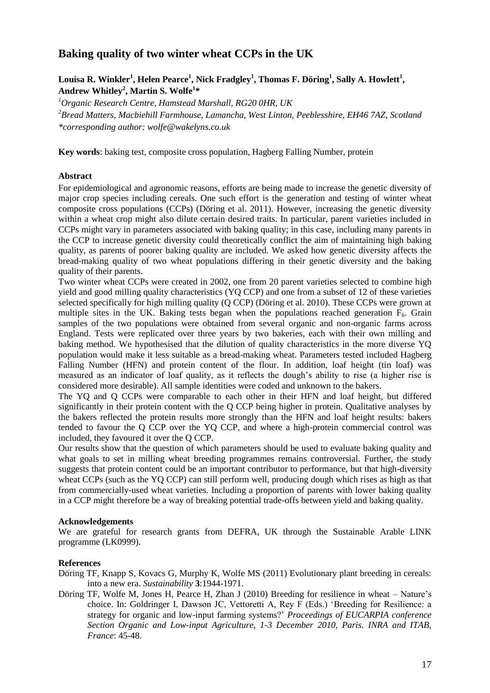# **Baking quality of two winter wheat CCPs in the UK**

## **Louisa R. Winkler<sup>1</sup> , Helen Pearce<sup>1</sup> , Nick Fradgley<sup>1</sup> , Thomas F. Döring<sup>1</sup> , Sally A. Howlett<sup>1</sup> , Andrew Whitley<sup>2</sup> , Martin S. Wolfe<sup>1</sup> \***

*<sup>1</sup>Organic Research Centre, Hamstead Marshall, RG20 0HR, UK*

*<sup>2</sup>Bread Matters, Macbiehill Farmhouse, Lamancha, West Linton, Peeblesshire, EH46 7AZ, Scotland \*corresponding author: wolfe@wakelyns.co.uk*

**Key words**: baking test, composite cross population, Hagberg Falling Number, protein

## **Abstract**

For epidemiological and agronomic reasons, efforts are being made to increase the genetic diversity of major crop species including cereals. One such effort is the generation and testing of winter wheat composite cross populations (CCPs) (Döring et al. 2011). However, increasing the genetic diversity within a wheat crop might also dilute certain desired traits. In particular, parent varieties included in CCPs might vary in parameters associated with baking quality; in this case, including many parents in the CCP to increase genetic diversity could theoretically conflict the aim of maintaining high baking quality, as parents of poorer baking quality are included. We asked how genetic diversity affects the bread-making quality of two wheat populations differing in their genetic diversity and the baking quality of their parents.

Two winter wheat CCPs were created in 2002, one from 20 parent varieties selected to combine high yield and good milling quality characteristics (YQ CCP) and one from a subset of 12 of these varieties selected specifically for high milling quality (Q CCP) (Döring et al. 2010). These CCPs were grown at multiple sites in the UK. Baking tests began when the populations reached generation  $F_6$ . Grain samples of the two populations were obtained from several organic and non-organic farms across England. Tests were replicated over three years by two bakeries, each with their own milling and baking method. We hypothesised that the dilution of quality characteristics in the more diverse YQ population would make it less suitable as a bread-making wheat. Parameters tested included Hagberg Falling Number (HFN) and protein content of the flour. In addition, loaf height (tin loaf) was measured as an indicator of loaf quality, as it reflects the dough's ability to rise (a higher rise is considered more desirable). All sample identities were coded and unknown to the bakers.

The YQ and Q CCPs were comparable to each other in their HFN and loaf height, but differed significantly in their protein content with the Q CCP being higher in protein. Qualitative analyses by the bakers reflected the protein results more strongly than the HFN and loaf height results: bakers tended to favour the Q CCP over the YQ CCP, and where a high-protein commercial control was included, they favoured it over the Q CCP.

Our results show that the question of which parameters should be used to evaluate baking quality and what goals to set in milling wheat breeding programmes remains controversial. Further, the study suggests that protein content could be an important contributor to performance, but that high-diversity wheat CCPs (such as the YQ CCP) can still perform well, producing dough which rises as high as that from commercially-used wheat varieties. Including a proportion of parents with lower baking quality in a CCP might therefore be a way of breaking potential trade-offs between yield and baking quality.

### **Acknowledgements**

We are grateful for research grants from DEFRA, UK through the Sustainable Arable LINK programme (LK0999).

- Döring TF, Knapp S, Kovacs G, Murphy K, Wolfe MS (2011) Evolutionary plant breeding in cereals: into a new era. *Sustainability* **3**:1944-1971.
- Döring TF, Wolfe M, Jones H, Pearce H, Zhan J (2010) Breeding for resilience in wheat Nature's choice. In: Goldringer I, Dawson JC, Vettoretti A, Rey F (Eds.) 'Breeding for Resilience: a strategy for organic and low-input farming systems?' *Proceedings of EUCARPIA conference Section Organic and Low-input Agriculture, 1-3 December 2010, Paris. INRA and ITAB, France*: 45-48.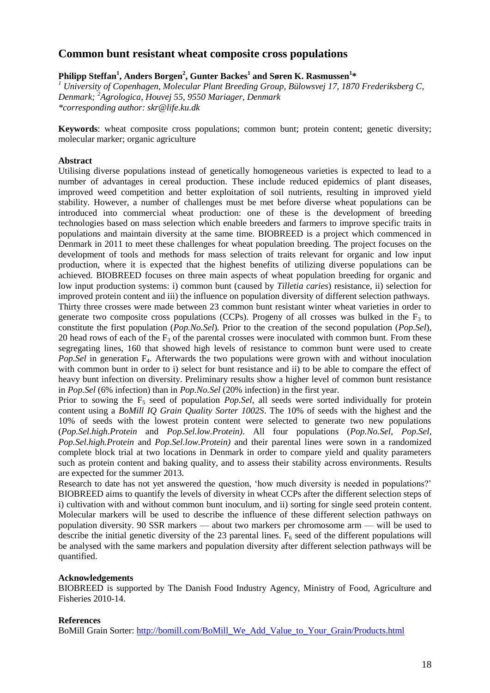## **Common bunt resistant wheat composite cross populations**

## **Philipp Steffan<sup>1</sup> , Anders Borgen<sup>2</sup> , Gunter Backes<sup>1</sup> and Søren K. Rasmussen<sup>1</sup> \***

*<sup>1</sup> University of Copenhagen, Molecular Plant Breeding Group, Bülowsvej 17, 1870 Frederiksberg C, Denmark; <sup>2</sup>Agrologica, Houvej 55, 9550 Mariager, Denmark \*corresponding author: skr@life.ku.dk*

**Keywords**: wheat composite cross populations; common bunt; protein content; genetic diversity; molecular marker; organic agriculture

### **Abstract**

Utilising diverse populations instead of genetically homogeneous varieties is expected to lead to a number of advantages in cereal production. These include reduced epidemics of plant diseases, improved weed competition and better exploitation of soil nutrients, resulting in improved yield stability. However, a number of challenges must be met before diverse wheat populations can be introduced into commercial wheat production: one of these is the development of breeding technologies based on mass selection which enable breeders and farmers to improve specific traits in populations and maintain diversity at the same time. BIOBREED is a project which commenced in Denmark in 2011 to meet these challenges for wheat population breeding. The project focuses on the development of tools and methods for mass selection of traits relevant for organic and low input production, where it is expected that the highest benefits of utilizing diverse populations can be achieved. BIOBREED focuses on three main aspects of wheat population breeding for organic and low input production systems: i) common bunt (caused by *Tilletia caries*) resistance, ii) selection for improved protein content and iii) the influence on population diversity of different selection pathways. Thirty three crosses were made between 23 common bunt resistant winter wheat varieties in order to generate two composite cross populations (CCPs). Progeny of all crosses was bulked in the  $F_3$  to constitute the first population (*Pop.No.Sel*)*.* Prior to the creation of the second population (*Pop.Sel*), 20 head rows of each of the  $F_3$  of the parental crosses were inoculated with common bunt. From these segregating lines, 160 that showed high levels of resistance to common bunt were used to create *Pop.Sel* in generation F<sub>4</sub>. Afterwards the two populations were grown with and without inoculation with common bunt in order to i) select for bunt resistance and ii) to be able to compare the effect of heavy bunt infection on diversity. Preliminary results show a higher level of common bunt resistance in *Pop.Sel* (6% infection) than in *Pop.No.Sel* (20% infection) in the first year.

Prior to sowing the F<sub>5</sub> seed of population *Pop.Sel*, all seeds were sorted individually for protein content using a *BoMill IQ Grain Quality Sorter 1002S*. The 10% of seeds with the highest and the 10% of seeds with the lowest protein content were selected to generate two new populations (*Pop.Sel.high.Protein* and *Pop.Sel.low.Protein)*. All four populations (*Pop.No.Sel*, *Pop.Sel, Pop.Sel.high.Protein* and *Pop.Sel.low.Protein)* and their parental lines were sown in a randomized complete block trial at two locations in Denmark in order to compare yield and quality parameters such as protein content and baking quality, and to assess their stability across environments. Results are expected for the summer 2013.

Research to date has not yet answered the question, 'how much diversity is needed in populations?' BIOBREED aims to quantify the levels of diversity in wheat CCPs after the different selection steps of i) cultivation with and without common bunt inoculum, and ii) sorting for single seed protein content. Molecular markers will be used to describe the influence of these different selection pathways on population diversity. 90 SSR markers — about two markers per chromosome arm — will be used to describe the initial genetic diversity of the 23 parental lines.  $F_6$  seed of the different populations will be analysed with the same markers and population diversity after different selection pathways will be quantified.

### **Acknowledgements**

BIOBREED is supported by The Danish Food Industry Agency, Ministry of Food, Agriculture and Fisheries 2010-14.

### **References**

BoMill Grain Sorter: [http://bomill.com/BoMill\\_We\\_Add\\_Value\\_to\\_Your\\_Grain/Products.html](http://bomill.com/BoMill_We_Add_Value_to_Your_Grain/Products.html)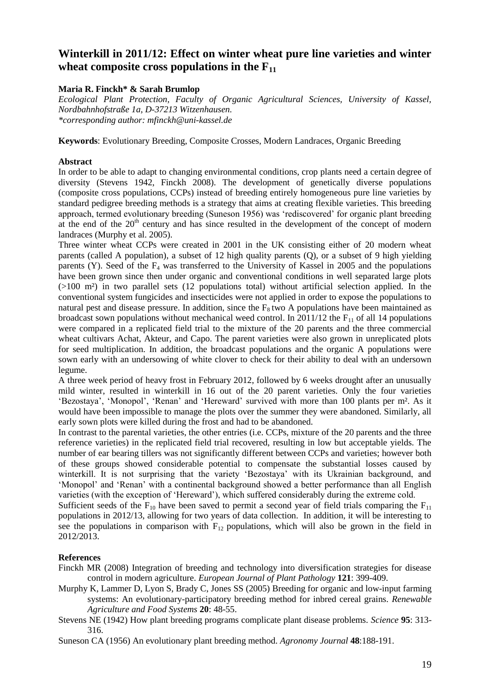## **Winterkill in 2011/12: Effect on winter wheat pure line varieties and winter wheat composite cross populations in the F<sup>11</sup>**

## **Maria R. Finckh\* & Sarah Brumlop**

*Ecological Plant Protection, Faculty of Organic Agricultural Sciences, University of Kassel, Nordbahnhofstraße 1a, D-37213 Witzenhausen. \*corresponding author: [mfinckh@uni-kassel.de](mailto:mfinckh@uni-kassel.de)*

**Keywords**: Evolutionary Breeding, Composite Crosses, Modern Landraces, Organic Breeding

### **Abstract**

In order to be able to adapt to changing environmental conditions, crop plants need a certain degree of diversity (Stevens 1942, Finckh 2008). The development of genetically diverse populations (composite cross populations, CCPs) instead of breeding entirely homogeneous pure line varieties by standard pedigree breeding methods is a strategy that aims at creating flexible varieties. This breeding approach, termed evolutionary breeding (Suneson 1956) was 'rediscovered' for organic plant breeding at the end of the  $20<sup>th</sup>$  century and has since resulted in the development of the concept of modern landraces (Murphy et al. 2005).

Three winter wheat CCPs were created in 2001 in the UK consisting either of 20 modern wheat parents (called A population), a subset of 12 high quality parents (Q), or a subset of 9 high yielding parents  $(Y)$ . Seed of the  $F_4$  was transferred to the University of Kassel in 2005 and the populations have been grown since then under organic and conventional conditions in well separated large plots  $(>100 \text{ m}^2)$  in two parallel sets (12 populations total) without artificial selection applied. In the conventional system fungicides and insecticides were not applied in order to expose the populations to natural pest and disease pressure. In addition, since the  $F_8$  two A populations have been maintained as broadcast sown populations without mechanical weed control. In 2011/12 the  $F_{11}$  of all 14 populations were compared in a replicated field trial to the mixture of the 20 parents and the three commercial wheat cultivars Achat, Akteur, and Capo. The parent varieties were also grown in unreplicated plots for seed multiplication. In addition, the broadcast populations and the organic A populations were sown early with an undersowing of white clover to check for their ability to deal with an undersown legume.

A three week period of heavy frost in February 2012, followed by 6 weeks drought after an unusually mild winter, resulted in winterkill in 16 out of the 20 parent varieties. Only the four varieties 'Bezostaya', 'Monopol', 'Renan' and 'Hereward' survived with more than 100 plants per m². As it would have been impossible to manage the plots over the summer they were abandoned. Similarly, all early sown plots were killed during the frost and had to be abandoned.

In contrast to the parental varieties, the other entries (i.e. CCPs, mixture of the 20 parents and the three reference varieties) in the replicated field trial recovered, resulting in low but acceptable yields. The number of ear bearing tillers was not significantly different between CCPs and varieties; however both of these groups showed considerable potential to compensate the substantial losses caused by winterkill. It is not surprising that the variety 'Bezostaya' with its Ukrainian background, and 'Monopol' and 'Renan' with a continental background showed a better performance than all English varieties (with the exception of 'Hereward'), which suffered considerably during the extreme cold.

Sufficient seeds of the  $F_{10}$  have been saved to permit a second year of field trials comparing the  $F_{11}$ populations in 2012/13, allowing for two years of data collection. In addition, it will be interesting to see the populations in comparison with  $F_{12}$  populations, which will also be grown in the field in 2012/2013.

- Finckh MR (2008) Integration of breeding and technology into diversification strategies for disease control in modern agriculture. *European Journal of Plant Pathology* **121**: 399-409.
- Murphy K, Lammer D, Lyon S, Brady C, Jones SS (2005) Breeding for organic and low-input farming systems: An evolutionary-participatory breeding method for inbred cereal grains. *Renewable Agriculture and Food Systems* **20**: 48-55.
- Stevens NE (1942) How plant breeding programs complicate plant disease problems. *Science* **95**: 313- 316.
- Suneson CA (1956) An evolutionary plant breeding method. *Agronomy Journal* **48**:188-191.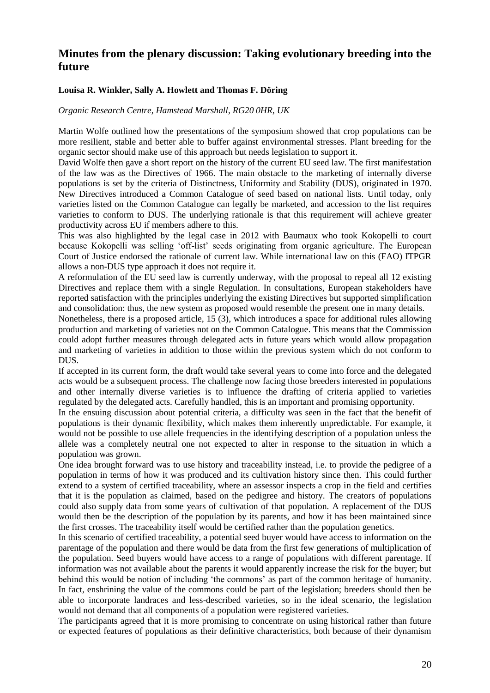## **Minutes from the plenary discussion: Taking evolutionary breeding into the future**

### **Louisa R. Winkler, Sally A. Howlett and Thomas F. Döring**

### *Organic Research Centre, Hamstead Marshall, RG20 0HR, UK*

Martin Wolfe outlined how the presentations of the symposium showed that crop populations can be more resilient, stable and better able to buffer against environmental stresses. Plant breeding for the organic sector should make use of this approach but needs legislation to support it.

David Wolfe then gave a short report on the history of the current EU seed law. The first manifestation of the law was as the Directives of 1966. The main obstacle to the marketing of internally diverse populations is set by the criteria of Distinctness, Uniformity and Stability (DUS), originated in 1970. New Directives introduced a Common Catalogue of seed based on national lists. Until today, only varieties listed on the Common Catalogue can legally be marketed, and accession to the list requires varieties to conform to DUS. The underlying rationale is that this requirement will achieve greater productivity across EU if members adhere to this.

This was also highlighted by the legal case in 2012 with Baumaux who took Kokopelli to court because Kokopelli was selling 'off-list' seeds originating from organic agriculture. The European Court of Justice endorsed the rationale of current law. While international law on this (FAO) ITPGR allows a non-DUS type approach it does not require it.

A reformulation of the EU seed law is currently underway, with the proposal to repeal all 12 existing Directives and replace them with a single Regulation. In consultations, European stakeholders have reported satisfaction with the principles underlying the existing Directives but supported simplification and consolidation: thus, the new system as proposed would resemble the present one in many details.

Nonetheless, there is a proposed article, 15 (3), which introduces a space for additional rules allowing production and marketing of varieties not on the Common Catalogue. This means that the Commission could adopt further measures through delegated acts in future years which would allow propagation and marketing of varieties in addition to those within the previous system which do not conform to DUS.

If accepted in its current form, the draft would take several years to come into force and the delegated acts would be a subsequent process. The challenge now facing those breeders interested in populations and other internally diverse varieties is to influence the drafting of criteria applied to varieties regulated by the delegated acts. Carefully handled, this is an important and promising opportunity.

In the ensuing discussion about potential criteria, a difficulty was seen in the fact that the benefit of populations is their dynamic flexibility, which makes them inherently unpredictable. For example, it would not be possible to use allele frequencies in the identifying description of a population unless the allele was a completely neutral one not expected to alter in response to the situation in which a population was grown.

One idea brought forward was to use history and traceability instead, i.e. to provide the pedigree of a population in terms of how it was produced and its cultivation history since then. This could further extend to a system of certified traceability, where an assessor inspects a crop in the field and certifies that it is the population as claimed, based on the pedigree and history. The creators of populations could also supply data from some years of cultivation of that population. A replacement of the DUS would then be the description of the population by its parents, and how it has been maintained since the first crosses. The traceability itself would be certified rather than the population genetics.

In this scenario of certified traceability, a potential seed buyer would have access to information on the parentage of the population and there would be data from the first few generations of multiplication of the population. Seed buyers would have access to a range of populations with different parentage. If information was not available about the parents it would apparently increase the risk for the buyer; but behind this would be notion of including 'the commons' as part of the common heritage of humanity. In fact, enshrining the value of the commons could be part of the legislation; breeders should then be able to incorporate landraces and less-described varieties, so in the ideal scenario, the legislation would not demand that all components of a population were registered varieties.

The participants agreed that it is more promising to concentrate on using historical rather than future or expected features of populations as their definitive characteristics, both because of their dynamism